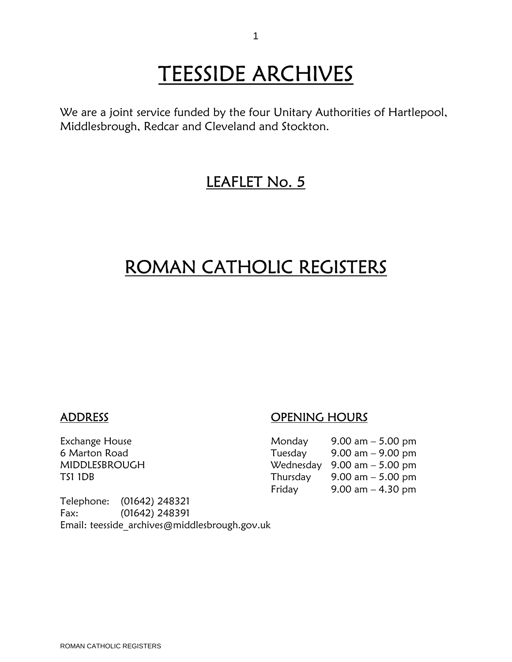# TEESSIDE ARCHIVES<br>We are a joint service funded by the four Unitary Authorities of Hartlepool,

Middlesbrough, Redcar and Cleveland and Stockton.

### LEAFLET No. 5

### ROMAN CATHOLIC REGISTERS

### ADDRESS OPENING HOURS

Exchange House Monday 9.00 am – 5.00 6 Marton Road MIDDLESBROUGH

| Exchange House | Monday  | $9.00 \text{ am} - 5.00 \text{ pm}$           |
|----------------|---------|-----------------------------------------------|
| 6 Marton Road  | Tuesday | 9.00 am $-$ 9.00 pm                           |
| MIDDLESBROUGH  |         | Wednesday $9.00 \text{ am} - 5.00 \text{ pm}$ |
| TS1 1DB        |         | Thursday $9.00 \text{ am} - 5.00 \text{ pm}$  |
|                | Friday  | $9.00$ am $-4.30$ pm                          |

Telephone: (01642) 248321 Fax: (01642) 248391 Email: teesside\_archives@middlesbrough.gov.uk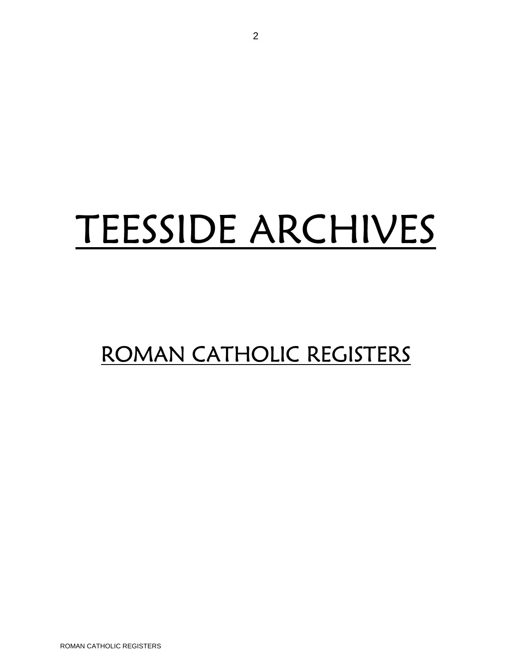## TEESSIDE ARCHIVES

## ROMAN CATHOLIC REGISTERS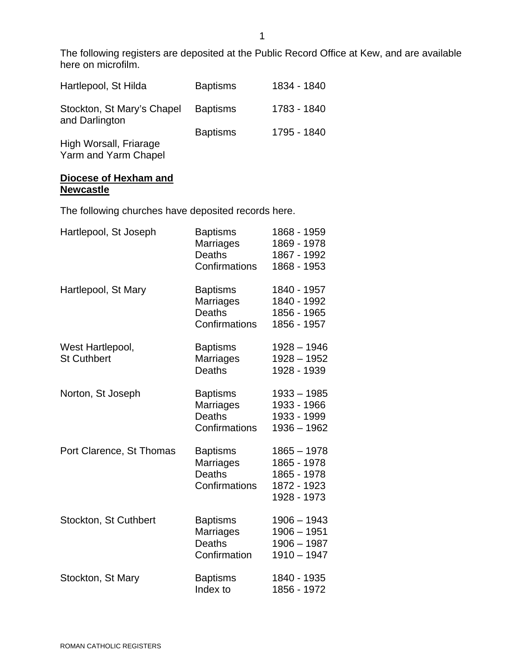The following registers are deposited at the Public Record Office at Kew, and are available here on microfilm.

| Hartlepool, St Hilda                                                   | <b>Baptisms</b> | 1834 - 1840 |
|------------------------------------------------------------------------|-----------------|-------------|
| Stockton, St Mary's Chapel<br>and Darlington<br>High Worsall, Friarage | <b>Baptisms</b> | 1783 - 1840 |
|                                                                        | <b>Baptisms</b> | 1795 - 1840 |
|                                                                        |                 |             |

Yarm and Yarm Chapel

#### **Diocese of Hexham and Newcastle**

The following churches have deposited records here.

| Hartlepool, St Joseph                  | <b>Baptisms</b><br>Marriages<br><b>Deaths</b><br>Confirmations | 1868 - 1959<br>1869 - 1978<br>1867 - 1992<br>1868 - 1953                  |
|----------------------------------------|----------------------------------------------------------------|---------------------------------------------------------------------------|
| Hartlepool, St Mary                    | <b>Baptisms</b><br>Marriages<br><b>Deaths</b><br>Confirmations | 1840 - 1957<br>1840 - 1992<br>1856 - 1965<br>1856 - 1957                  |
| West Hartlepool,<br><b>St Cuthbert</b> | <b>Baptisms</b><br>Marriages<br><b>Deaths</b>                  | $1928 - 1946$<br>$1928 - 1952$<br>1928 - 1939                             |
| Norton, St Joseph                      | <b>Baptisms</b><br>Marriages<br><b>Deaths</b><br>Confirmations | $1933 - 1985$<br>1933 - 1966<br>1933 - 1999<br>$1936 - 1962$              |
| Port Clarence, St Thomas               | <b>Baptisms</b><br>Marriages<br><b>Deaths</b><br>Confirmations | $1865 - 1978$<br>1865 - 1978<br>1865 - 1978<br>1872 - 1923<br>1928 - 1973 |
| Stockton, St Cuthbert                  | <b>Baptisms</b><br>Marriages<br><b>Deaths</b><br>Confirmation  | $1906 - 1943$<br>$1906 - 1951$<br>$1906 - 1987$<br>$1910 - 1947$          |
| Stockton, St Mary                      | <b>Baptisms</b><br>Index to                                    | 1840 - 1935<br>1856 - 1972                                                |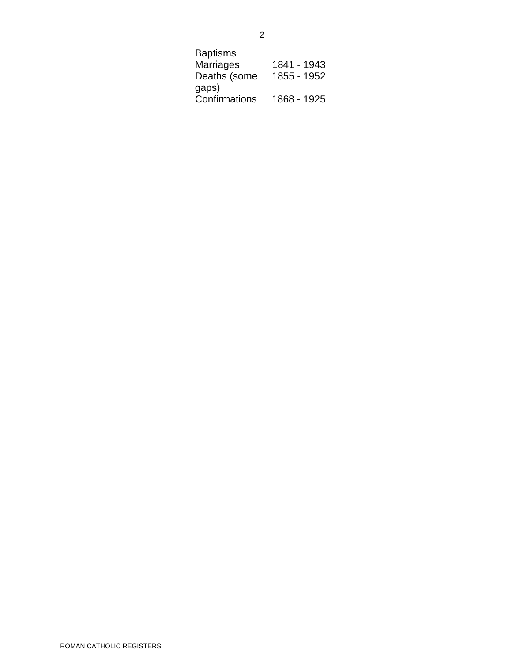| Baptisms         |             |
|------------------|-------------|
| <b>Marriages</b> | 1841 - 1943 |
| Deaths (some     | 1855 - 1952 |
| gaps)            |             |
| Confirmations    | 1868 - 1925 |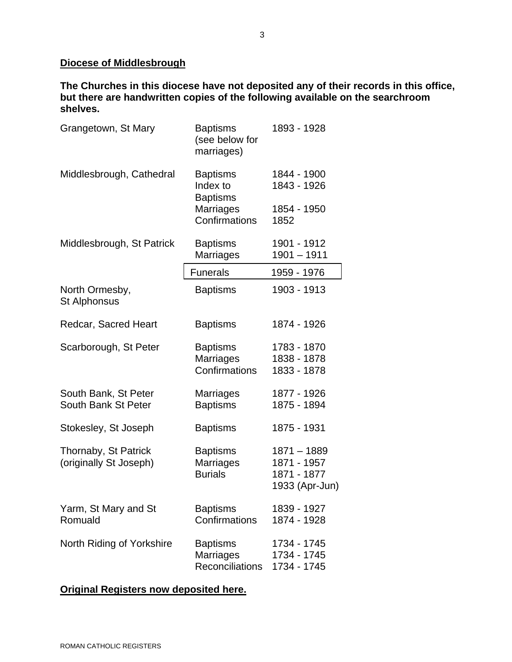### **Diocese of Middlesbrough**

**The Churches in this diocese have not deposited any of their records in this office, but there are handwritten copies of the following available on the searchroom shelves.** 

| Grangetown, St Mary                            | <b>Baptisms</b><br>(see below for<br>marriages)               | 1893 - 1928                                                   |
|------------------------------------------------|---------------------------------------------------------------|---------------------------------------------------------------|
| Middlesbrough, Cathedral                       | <b>Baptisms</b><br>Index to<br><b>Baptisms</b>                | 1844 - 1900<br>1843 - 1926                                    |
|                                                | <b>Marriages</b><br>Confirmations                             | 1854 - 1950<br>1852                                           |
| Middlesbrough, St Patrick                      | <b>Baptisms</b><br><b>Marriages</b>                           | 1901 - 1912<br>$1901 - 1911$                                  |
|                                                | <b>Funerals</b>                                               | 1959 - 1976                                                   |
| North Ormesby,<br><b>St Alphonsus</b>          | <b>Baptisms</b>                                               | 1903 - 1913                                                   |
| Redcar, Sacred Heart                           | <b>Baptisms</b>                                               | 1874 - 1926                                                   |
| Scarborough, St Peter                          | <b>Baptisms</b><br><b>Marriages</b><br>Confirmations          | 1783 - 1870<br>1838 - 1878<br>1833 - 1878                     |
| South Bank, St Peter<br>South Bank St Peter    | <b>Marriages</b><br><b>Baptisms</b>                           | 1877 - 1926<br>1875 - 1894                                    |
| Stokesley, St Joseph                           | <b>Baptisms</b>                                               | 1875 - 1931                                                   |
| Thornaby, St Patrick<br>(originally St Joseph) | <b>Baptisms</b><br>Marriages<br><b>Burials</b>                | $1871 - 1889$<br>1871 - 1957<br>1871 - 1877<br>1933 (Apr-Jun) |
| Yarm, St Mary and St<br>Romuald                | <b>Baptisms</b><br>Confirmations                              | 1839 - 1927<br>1874 - 1928                                    |
| North Riding of Yorkshire                      | <b>Baptisms</b><br><b>Marriages</b><br><b>Reconciliations</b> | 1734 - 1745<br>1734 - 1745<br>1734 - 1745                     |

### **Original Registers now deposited here.**